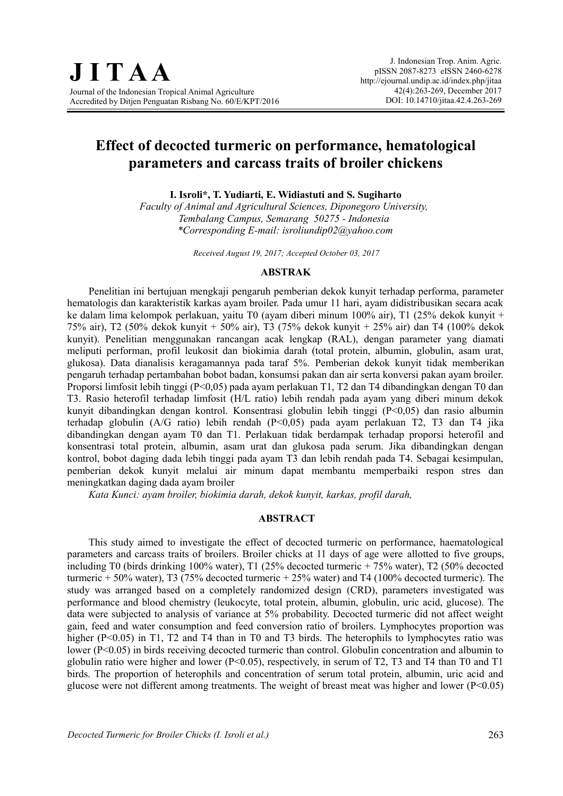# **Effect of decocted turmeric on performance, hematological parameters and carcass traits of broiler chickens**

**I. Isroli\*, T. Yudiarti, E. Widiastuti and S. Sugiharto**

*Faculty of Animal and Agricultural Sciences, Diponegoro University, Tembalang Campus, Semarang 50275 - Indonesia \*Corresponding E-mail: isroliundip02@yahoo.com*

*Received August 19, 2017; Accepted October 03, 2017*

#### **ABSTRAK**

Penelitian ini bertujuan mengkaji pengaruh pemberian dekok kunyit terhadap performa, parameter hematologis dan karakteristik karkas ayam broiler. Pada umur 11 hari, ayam didistribusikan secara acak ke dalam lima kelompok perlakuan, yaitu T0 (ayam diberi minum 100% air), T1 (25% dekok kunyit + 75% air), T2 (50% dekok kunyit + 50% air), T3 (75% dekok kunyit + 25% air) dan T4 (100% dekok kunyit). Penelitian menggunakan rancangan acak lengkap (RAL), dengan parameter yang diamati meliputi performan, profil leukosit dan biokimia darah (total protein, albumin, globulin, asam urat, glukosa). Data dianalisis keragamannya pada taraf 5%. Pemberian dekok kunyit tidak memberikan pengaruh terhadap pertambahan bobot badan, konsumsi pakan dan air serta konversi pakan ayam broiler. Proporsi limfosit lebih tinggi (P<0,05) pada ayam perlakuan T1, T2 dan T4 dibandingkan dengan T0 dan T3. Rasio heterofil terhadap limfosit (H/L ratio) lebih rendah pada ayam yang diberi minum dekok kunyit dibandingkan dengan kontrol. Konsentrasi globulin lebih tinggi (P<0,05) dan rasio albumin terhadap globulin (A/G ratio) lebih rendah (P<0,05) pada ayam perlakuan T2, T3 dan T4 jika dibandingkan dengan ayam T0 dan T1. Perlakuan tidak berdampak terhadap proporsi heterofil and konsentrasi total protein, albumin, asam urat dan glukosa pada serum. Jika dibandingkan dengan kontrol, bobot daging dada lebih tinggi pada ayam T3 dan lebih rendah pada T4. Sebagai kesimpulan, pemberian dekok kunyit melalui air minum dapat membantu memperbaiki respon stres dan meningkatkan daging dada ayam broiler

*Kata Kunci: ayam broiler, biokimia darah, dekok kunyit, karkas, profil darah,* 

### **ABSTRACT**

This study aimed to investigate the effect of decocted turmeric on performance, haematological parameters and carcass traits of broilers. Broiler chicks at 11 days of age were allotted to five groups, including T0 (birds drinking 100% water), T1 (25% decocted turmeric + 75% water), T2 (50% decocted turmeric + 50% water), T3 (75% decocted turmeric + 25% water) and T4 (100% decocted turmeric). The study was arranged based on a completely randomized design (CRD), parameters investigated was performance and blood chemistry (leukocyte, total protein, albumin, globulin, uric acid, glucose). The data were subjected to analysis of variance at 5% probability. Decocted turmeric did not affect weight gain, feed and water consumption and feed conversion ratio of broilers. Lymphocytes proportion was higher (P<0.05) in T1, T2 and T4 than in T0 and T3 birds. The heterophils to lymphocytes ratio was lower (P<0.05) in birds receiving decocted turmeric than control. Globulin concentration and albumin to globulin ratio were higher and lower (P<0.05), respectively, in serum of T2, T3 and T4 than T0 and T1 birds. The proportion of heterophils and concentration of serum total protein, albumin, uric acid and glucose were not different among treatments. The weight of breast meat was higher and lower (P<0.05)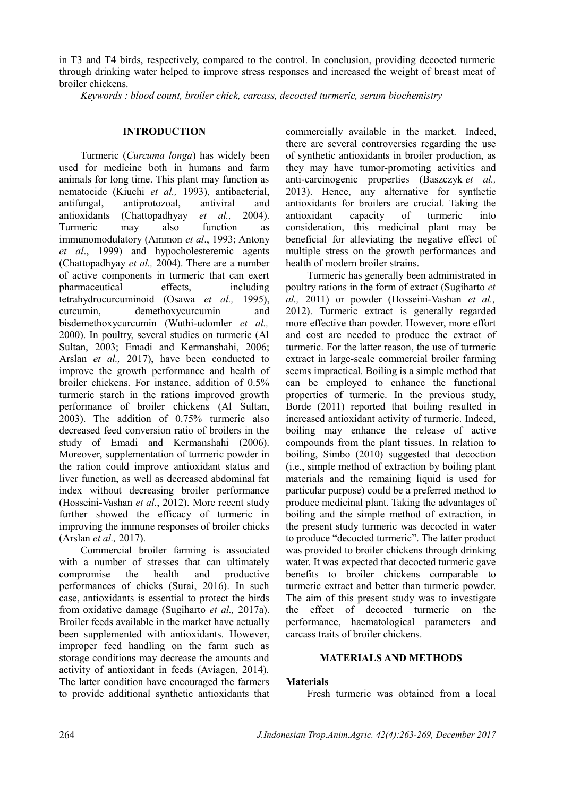in T3 and T4 birds, respectively, compared to the control. In conclusion, providing decocted turmeric through drinking water helped to improve stress responses and increased the weight of breast meat of broiler chickens.

*Keywords : blood count, broiler chick, carcass, decocted turmeric, serum biochemistry* 

## **INTRODUCTION**

Turmeric (*Curcuma longa*) has widely been used for medicine both in humans and farm animals for long time. This plant may function as nematocide (Kiuchi *et al.,* 1993), antibacterial, antifungal, antiprotozoal, antiviral and antioxidants (Chattopadhyay *et al.,* 2004). Turmeric may also function as immunomodulatory (Ammon *et al*., 1993; Antony *et al*., 1999) and hypocholesteremic agents (Chattopadhyay *et al.,* 2004). There are a number of active components in turmeric that can exert pharmaceutical effects, including tetrahydrocurcuminoid (Osawa *et al.,* 1995), curcumin, demethoxycurcumin and bisdemethoxycurcumin (Wuthi-udomler *et al.,* 2000). In poultry, several studies on turmeric (Al Sultan, 2003; Emadi and Kermanshahi, 2006; Arslan *et al.,* 2017), have been conducted to improve the growth performance and health of broiler chickens. For instance, addition of 0.5% turmeric starch in the rations improved growth performance of broiler chickens (Al Sultan, 2003). The addition of 0.75% turmeric also decreased feed conversion ratio of broilers in the study of Emadi and Kermanshahi (2006). Moreover, supplementation of turmeric powder in the ration could improve antioxidant status and liver function, as well as decreased abdominal fat index without decreasing broiler performance (Hosseini-Vashan *et al*., 2012). More recent study further showed the efficacy of turmeric in improving the immune responses of broiler chicks (Arslan *et al.,* 2017).

Commercial broiler farming is associated with a number of stresses that can ultimately compromise the health and productive performances of chicks (Surai, 2016). In such case, antioxidants is essential to protect the birds from oxidative damage (Sugiharto *et al.,* 2017a). Broiler feeds available in the market have actually been supplemented with antioxidants. However, improper feed handling on the farm such as storage conditions may decrease the amounts and activity of antioxidant in feeds (Aviagen, 2014). The latter condition have encouraged the farmers to provide additional synthetic antioxidants that commercially available in the market. Indeed, there are several controversies regarding the use of synthetic antioxidants in broiler production, as they may have tumor-promoting activities and anti-carcinogenic properties (Baszczyk *et al.,* 2013). Hence, any alternative for synthetic antioxidants for broilers are crucial. Taking the antioxidant capacity of turmeric into consideration, this medicinal plant may be beneficial for alleviating the negative effect of multiple stress on the growth performances and health of modern broiler strains.

Turmeric has generally been administrated in poultry rations in the form of extract (Sugiharto *et al.,* 2011) or powder (Hosseini-Vashan *et al.,* 2012). Turmeric extract is generally regarded more effective than powder. However, more effort and cost are needed to produce the extract of turmeric. For the latter reason, the use of turmeric extract in large-scale commercial broiler farming seems impractical. Boiling is a simple method that can be employed to enhance the functional properties of turmeric. In the previous study, Borde (2011) reported that boiling resulted in increased antioxidant activity of turmeric. Indeed, boiling may enhance the release of active compounds from the plant tissues. In relation to boiling, Simbo (2010) suggested that decoction (i.e., simple method of extraction by boiling plant materials and the remaining liquid is used for particular purpose) could be a preferred method to produce medicinal plant. Taking the advantages of boiling and the simple method of extraction, in the present study turmeric was decocted in water to produce "decocted turmeric". The latter product was provided to broiler chickens through drinking water. It was expected that decocted turmeric gave benefits to broiler chickens comparable to turmeric extract and better than turmeric powder. The aim of this present study was to investigate the effect of decocted turmeric on the performance, haematological parameters and carcass traits of broiler chickens.

## **MATERIALS AND METHODS**

## **Materials**

Fresh turmeric was obtained from a local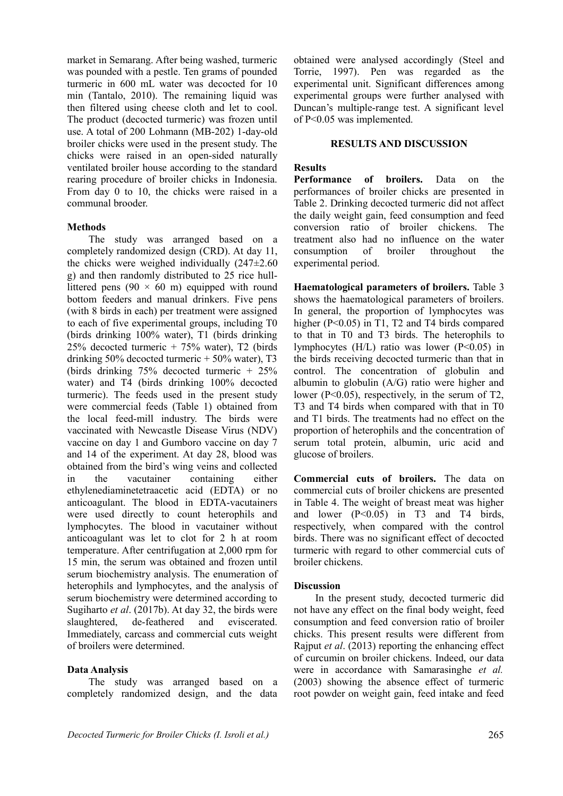market in Semarang. After being washed, turmeric was pounded with a pestle. Ten grams of pounded turmeric in 600 mL water was decocted for 10 min (Tantalo, 2010). The remaining liquid was then filtered using cheese cloth and let to cool. The product (decocted turmeric) was frozen until use. A total of 200 Lohmann (MB-202) 1-day-old broiler chicks were used in the present study. The chicks were raised in an open-sided naturally ventilated broiler house according to the standard rearing procedure of broiler chicks in Indonesia. From day 0 to 10, the chicks were raised in a communal brooder.

#### **Methods**

The study was arranged based on a completely randomized design (CRD). At day 11, the chicks were weighed individually  $(247\pm2.60)$ g) and then randomly distributed to 25 rice hulllittered pens (90  $\times$  60 m) equipped with round bottom feeders and manual drinkers. Five pens (with 8 birds in each) per treatment were assigned to each of five experimental groups, including T0 (birds drinking 100% water), T1 (birds drinking 25% decocted turmeric + 75% water), T2 (birds drinking  $50\%$  decocted turmeric  $+50\%$  water), T3 (birds drinking 75% decocted turmeric + 25% water) and T4 (birds drinking 100% decocted turmeric). The feeds used in the present study were commercial feeds (Table 1) obtained from the local feed-mill industry. The birds were vaccinated with Newcastle Disease Virus (NDV) vaccine on day 1 and Gumboro vaccine on day 7 and 14 of the experiment. At day 28, blood was obtained from the bird's wing veins and collected in the vacutainer containing either ethylenediaminetetraacetic acid (EDTA) or no anticoagulant. The blood in EDTA-vacutainers were used directly to count heterophils and lymphocytes. The blood in vacutainer without anticoagulant was let to clot for 2 h at room temperature. After centrifugation at 2,000 rpm for 15 min, the serum was obtained and frozen until serum biochemistry analysis. The enumeration of heterophils and lymphocytes, and the analysis of serum biochemistry were determined according to Sugiharto *et al*. (2017b). At day 32, the birds were slaughtered, de-feathered and eviscerated. Immediately, carcass and commercial cuts weight of broilers were determined.

#### **Data Analysis**

The study was arranged based on a completely randomized design, and the data obtained were analysed accordingly (Steel and Torrie, 1997). Pen was regarded as the experimental unit. Significant differences among experimental groups were further analysed with Duncan's multiple-range test. A significant level of P<0.05 was implemented.

#### **RESULTS AND DISCUSSION**

#### **Results**

**Performance of broilers.** Data on the performances of broiler chicks are presented in Table 2. Drinking decocted turmeric did not affect the daily weight gain, feed consumption and feed conversion ratio of broiler chickens. The treatment also had no influence on the water consumption of broiler throughout the experimental period.

**Haematological parameters of broilers.** Table 3 shows the haematological parameters of broilers. In general, the proportion of lymphocytes was higher (P<0.05) in T1, T2 and T4 birds compared to that in T0 and T3 birds. The heterophils to lymphocytes (H/L) ratio was lower (P<0.05) in the birds receiving decocted turmeric than that in control. The concentration of globulin and albumin to globulin (A/G) ratio were higher and lower (P<0.05), respectively, in the serum of T2, T3 and T4 birds when compared with that in T0 and T1 birds. The treatments had no effect on the proportion of heterophils and the concentration of serum total protein, albumin, uric acid and glucose of broilers.

**Commercial cuts of broilers.** The data on commercial cuts of broiler chickens are presented in Table 4. The weight of breast meat was higher and lower  $(P<0.05)$  in T3 and T4 birds, respectively, when compared with the control birds. There was no significant effect of decocted turmeric with regard to other commercial cuts of broiler chickens.

#### **Discussion**

In the present study, decocted turmeric did not have any effect on the final body weight, feed consumption and feed conversion ratio of broiler chicks. This present results were different from Rajput *et al*. (2013) reporting the enhancing effect of curcumin on broiler chickens. Indeed, our data were in accordance with Samarasinghe *et al.* (2003) showing the absence effect of turmeric root powder on weight gain, feed intake and feed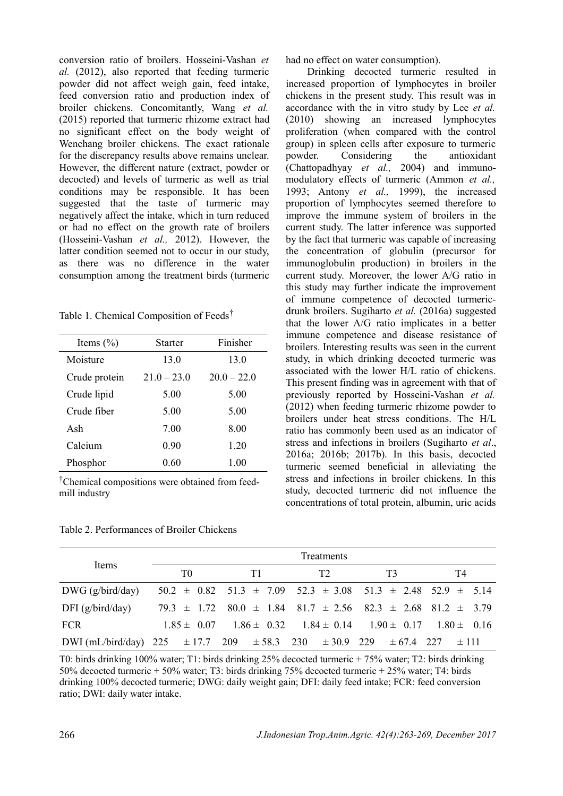conversion ratio of broilers. Hosseini-Vashan *et al.* (2012), also reported that feeding turmeric powder did not affect weigh gain, feed intake, feed conversion ratio and production index of broiler chickens. Concomitantly, Wang *et al.* (2015) reported that turmeric rhizome extract had no significant effect on the body weight of Wenchang broiler chickens. The exact rationale for the discrepancy results above remains unclear. However, the different nature (extract, powder or decocted) and levels of turmeric as well as trial conditions may be responsible. It has been suggested that the taste of turmeric may negatively affect the intake, which in turn reduced or had no effect on the growth rate of broilers (Hosseini-Vashan *et al.,* 2012). However, the latter condition seemed not to occur in our study, as there was no difference in the water consumption among the treatment birds (turmeric

Table 1. Chemical Composition of Feeds†

| Items $(\% )$ | Starter       | Finisher      |  |  |
|---------------|---------------|---------------|--|--|
| Moisture      | 13.0          | 13.0          |  |  |
| Crude protein | $21.0 - 23.0$ | $20.0 - 22.0$ |  |  |
| Crude lipid   | 5.00          | 5.00          |  |  |
| Crude fiber   | 5.00          | 5.00          |  |  |
| Ash           | 7.00          | 8.00          |  |  |
| Calcium       | 0.90          | 1.20          |  |  |
| Phosphor      | 0.60          | 1 00          |  |  |
|               |               |               |  |  |

†Chemical compositions were obtained from feedmill industry

Table 2. Performances of Broiler Chickens

had no effect on water consumption).

Drinking decocted turmeric resulted in increased proportion of lymphocytes in broiler chickens in the present study. This result was in accordance with the in vitro study by Lee *et al.* (2010) showing an increased lymphocytes proliferation (when compared with the control group) in spleen cells after exposure to turmeric powder. Considering the antioxidant (Chattopadhyay *et al.,* 2004) and immunomodulatory effects of turmeric (Ammon *et al.,* 1993; Antony *et al.,* 1999), the increased proportion of lymphocytes seemed therefore to improve the immune system of broilers in the current study. The latter inference was supported by the fact that turmeric was capable of increasing the concentration of globulin (precursor for immunoglobulin production) in broilers in the current study. Moreover, the lower A/G ratio in this study may further indicate the improvement of immune competence of decocted turmericdrunk broilers. Sugiharto *et al.* (2016a) suggested that the lower A/G ratio implicates in a better immune competence and disease resistance of broilers. Interesting results was seen in the current study, in which drinking decocted turmeric was associated with the lower H/L ratio of chickens. This present finding was in agreement with that of previously reported by Hosseini-Vashan *et al.* (2012) when feeding turmeric rhizome powder to broilers under heat stress conditions. The H/L ratio has commonly been used as an indicator of stress and infections in broilers (Sugiharto *et al*., 2016a; 2016b; 2017b). In this basis, decocted turmeric seemed beneficial in alleviating the stress and infections in broiler chickens. In this study, decocted turmeric did not influence the concentrations of total protein, albumin, uric acids

| Items                                                                             |                |                                                                                 |    |  |                |  | Treatments                                                      |  |    |  |  |           |  |
|-----------------------------------------------------------------------------------|----------------|---------------------------------------------------------------------------------|----|--|----------------|--|-----------------------------------------------------------------|--|----|--|--|-----------|--|
|                                                                                   | T <sub>0</sub> |                                                                                 | T1 |  | T <sub>2</sub> |  | T3                                                              |  | T4 |  |  |           |  |
| $DWG$ (g/bird/day)                                                                |                | $50.2 \pm 0.82$ $51.3 \pm 7.09$ $52.3 \pm 3.08$ $51.3 \pm 2.48$ $52.9 \pm 5.14$ |    |  |                |  |                                                                 |  |    |  |  |           |  |
| DFI $(g/bird/day)$                                                                |                | $79.3 \pm 1.72$ $80.0 \pm 1.84$ $81.7 \pm 2.56$ $82.3 \pm 2.68$ $81.2 \pm 3.79$ |    |  |                |  |                                                                 |  |    |  |  |           |  |
| <b>FCR</b>                                                                        |                | $1.85 \pm 0.07$                                                                 |    |  |                |  | $1.86 \pm 0.32$ $1.84 \pm 0.14$ $1.90 \pm 0.17$ $1.80 \pm 0.16$ |  |    |  |  |           |  |
| DWI (mL/bird/day) 225 $\pm$ 17.7 209 $\pm$ 58.3 230 $\pm$ 30.9 229 $\pm$ 67.4 227 |                |                                                                                 |    |  |                |  |                                                                 |  |    |  |  | $\pm$ 111 |  |

T0: birds drinking 100% water; T1: birds drinking 25% decocted turmeric + 75% water; T2: birds drinking 50% decocted turmeric + 50% water; T3: birds drinking 75% decocted turmeric + 25% water; T4: birds drinking 100% decocted turmeric; DWG: daily weight gain; DFI: daily feed intake; FCR: feed conversion ratio; DWI: daily water intake.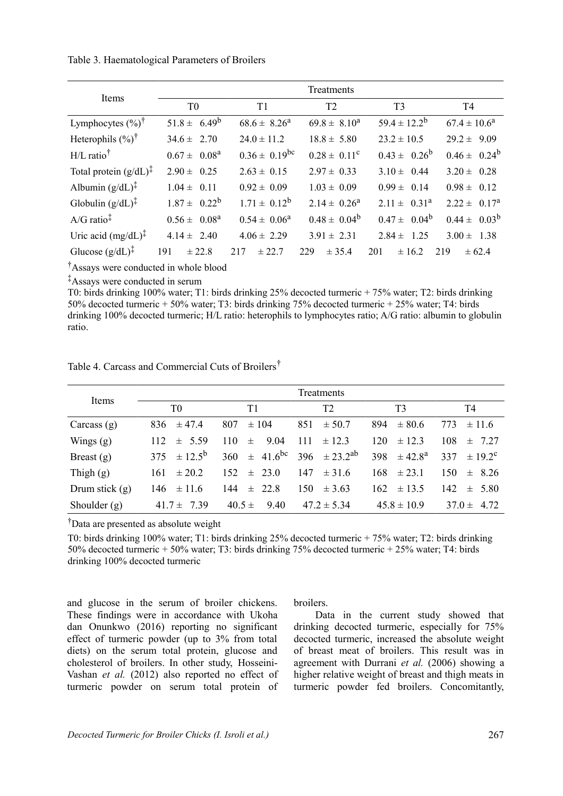Table 3. Haematological Parameters of Broilers

| Items                                        | Treatments        |                      |                         |                     |                   |  |  |  |
|----------------------------------------------|-------------------|----------------------|-------------------------|---------------------|-------------------|--|--|--|
|                                              | T <sub>0</sub>    | T1                   | T <sub>2</sub>          | T <sub>3</sub>      | T4                |  |  |  |
| Lymphocytes $(\%)^{\dagger}$                 | $51.8 \pm 6.49^b$ | $68.6 \pm 8.26^a$    | $69.8 \pm 8.10^a$       | $59.4 \pm 12.2^b$   | $67.4 \pm 10.6^a$ |  |  |  |
| Heterophils $(\%)^{\dagger}$                 | $34.6 \pm 2.70$   | $24.0 \pm 11.2$      | $18.8 \pm 5.80$         | $23.2 \pm 10.5$     | $29.2 \pm 9.09$   |  |  |  |
| $H/L$ ratio <sup>†</sup>                     | $0.67 \pm 0.08^a$ | $0.36 \pm 0.19^{bc}$ | $0.28 \pm 0.11^c$       | $0.43 \pm 0.26^b$   | $0.46 \pm 0.24^b$ |  |  |  |
| Total protein $(g/dL)^{\ddagger}$            | $2.90 \pm 0.25$   | $2.63 \pm 0.15$      | $2.97 \pm 0.33$         | $3.10 \pm 0.44$     | $3.20 \pm 0.28$   |  |  |  |
| Albumin $(g/dL)^{\ddagger}$                  | $1.04 \pm 0.11$   | $0.92 \pm 0.09$      | $1.03 \pm 0.09$         | $0.99 \pm 0.14$     | $0.98 \pm 0.12$   |  |  |  |
| Globulin $(g/dL)^{\ddagger}$                 | $1.87 \pm 0.22^b$ | $1.71 \pm 0.12^b$    | $2.14 \pm 0.26^{\circ}$ | $2.11 \pm 0.31^a$   | $2.22 \pm 0.17^a$ |  |  |  |
| $A/G$ ratio <sup><math>\ddagger</math></sup> | $0.56 \pm 0.08^a$ | $0.54 \pm 0.06^a$    | $0.48 \pm 0.04^b$       | $0.47 \pm 0.04^b$   | $0.44 \pm 0.03^b$ |  |  |  |
| Uric acid $(mg/dL)^{\ddagger}$               | $4.14 \pm 2.40$   | $4.06 \pm 2.29$      | $3.91 \pm 2.31$         | $2.84 \pm$<br>1 2 5 | $3.00 \pm 1.38$   |  |  |  |
| Glucose $(g/dL)^{\ddagger}$                  | 191<br>± 22.8     | 217<br>± 22.7        | 229<br>± 35.4           | 201<br>± 16.2       | 219<br>± 62.4     |  |  |  |

†Assays were conducted in whole blood

‡Assays were conducted in serum

T0: birds drinking 100% water; T1: birds drinking 25% decocted turmeric + 75% water; T2: birds drinking 50% decocted turmeric + 50% water; T3: birds drinking 75% decocted turmeric + 25% water; T4: birds drinking 100% decocted turmeric; H/L ratio: heterophils to lymphocytes ratio; A/G ratio: albumin to globulin ratio.

Table 4. Carcass and Commercial Cuts of Broilers†

| Items            | Treatments            |                             |                        |                                |                    |  |  |  |  |
|------------------|-----------------------|-----------------------------|------------------------|--------------------------------|--------------------|--|--|--|--|
|                  | T <sub>0</sub>        | T1                          | T2                     | T <sub>3</sub>                 | T4                 |  |  |  |  |
| Carcass $(g)$    | $\pm$ 47.4<br>836     | 807<br>$\pm 104$            | 851<br>$\pm 50.7$      | 894<br>$\pm 80.6$              | $\pm$ 11.6<br>773  |  |  |  |  |
| Wings $(g)$      | $\pm$ 5.59<br>112     | 110<br>9.04<br>$\pm$        | 111<br>$\pm$ 12.3      | 120<br>$\pm$ 12.3              | 108<br>$\pm$ 7.27  |  |  |  |  |
| Breast $(g)$     | $\pm 12.5^{b}$<br>375 | $41.6^{bc}$<br>360<br>$\pm$ | $\pm 23.2^{ab}$<br>396 | 398<br>$\pm$ 42 8 <sup>a</sup> | 337<br>$\pm$ 19.2° |  |  |  |  |
| Thigh $(g)$      | $\pm 20.2$<br>161     | 152<br>$\pm$ 23.0           | 147<br>$\pm$ 31.6      | 168<br>$\pm$ 23.1              | 150<br>$\pm$ 8.26  |  |  |  |  |
| Drum stick $(g)$ | 146<br>$\pm$ 11.6     | 144<br>$\pm$ 22.8           | 150<br>$\pm$ 3.63      | $\pm$ 13.5<br>162              | 142<br>$\pm$ 5.80  |  |  |  |  |
| Shoulder $(g)$   | 41 7 $\pm$<br>739     | $40.5 \pm$<br>9.40          | $47.2 \pm 5.34$        | $45.8 \pm 10.9$                | $37.0 \pm$<br>4.72 |  |  |  |  |

†Data are presented as absolute weight

T0: birds drinking 100% water; T1: birds drinking 25% decocted turmeric + 75% water; T2: birds drinking 50% decocted turmeric + 50% water; T3: birds drinking 75% decocted turmeric + 25% water; T4: birds drinking 100% decocted turmeric

and glucose in the serum of broiler chickens. These findings were in accordance with Ukoha dan Onunkwo (2016) reporting no significant effect of turmeric powder (up to 3% from total diets) on the serum total protein, glucose and cholesterol of broilers. In other study, Hosseini-Vashan *et al.* (2012) also reported no effect of turmeric powder on serum total protein of broilers.

Data in the current study showed that drinking decocted turmeric, especially for 75% decocted turmeric, increased the absolute weight of breast meat of broilers. This result was in agreement with Durrani *et al.* (2006) showing a higher relative weight of breast and thigh meats in turmeric powder fed broilers. Concomitantly,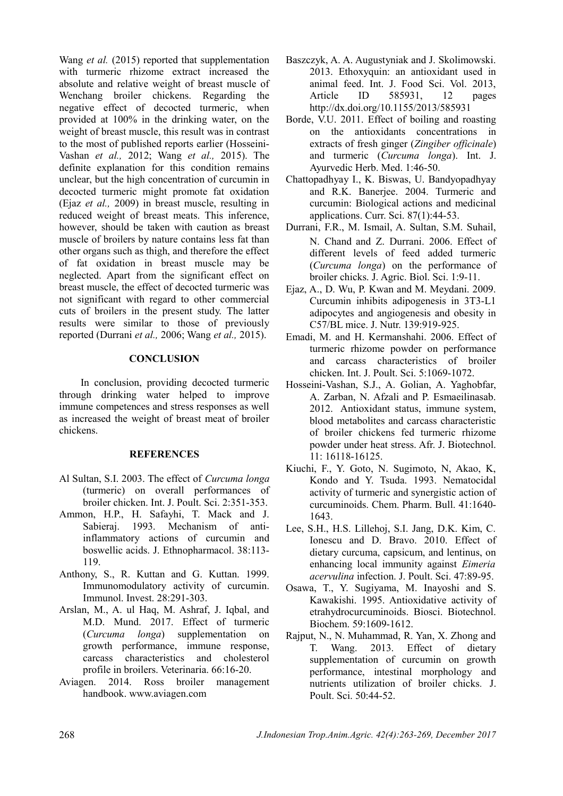Wang *et al.* (2015) reported that supplementation with turmeric rhizome extract increased the absolute and relative weight of breast muscle of Wenchang broiler chickens. Regarding the negative effect of decocted turmeric, when provided at 100% in the drinking water, on the weight of breast muscle, this result was in contrast to the most of published reports earlier (Hosseini-Vashan *et al.,* 2012; Wang *et al.,* 2015). The definite explanation for this condition remains unclear, but the high concentration of curcumin in decocted turmeric might promote fat oxidation (Ejaz *et al.,* 2009) in breast muscle, resulting in reduced weight of breast meats. This inference, however, should be taken with caution as breast muscle of broilers by nature contains less fat than other organs such as thigh, and therefore the effect of fat oxidation in breast muscle may be neglected. Apart from the significant effect on breast muscle, the effect of decocted turmeric was not significant with regard to other commercial cuts of broilers in the present study. The latter results were similar to those of previously reported (Durrani *et al.,* 2006; Wang *et al.,* 2015).

## **CONCLUSION**

In conclusion, providing decocted turmeric through drinking water helped to improve immune competences and stress responses as well as increased the weight of breast meat of broiler chickens.

### **REFERENCES**

- Al Sultan, S.I. 2003. The effect of *Curcuma longa* (turmeric) on overall performances of broiler chicken. Int. J. Poult. Sci. 2:351-353.
- Ammon, H.P., H. Safayhi, T. Mack and J. Sabieraj. 1993. Mechanism of antiinflammatory actions of curcumin and boswellic acids. J. Ethnopharmacol. 38:113- 119.
- Anthony, S., R. Kuttan and G. Kuttan. 1999. Immunomodulatory activity of curcumin. Immunol. Invest. 28:291-303.
- Arslan, M., A. ul Haq, M. Ashraf, J. Iqbal, and M.D. Mund. 2017. Effect of turmeric (*Curcuma longa*) supplementation on growth performance, immune response, carcass characteristics and cholesterol profile in broilers. Veterinaria. 66:16-20.
- Aviagen. 2014. Ross broiler management handbook. www.aviagen.com
- Baszczyk, A. A. Augustyniak and J. Skolimowski. 2013. Ethoxyquin: an antioxidant used in animal feed. Int. J. Food Sci. Vol. 2013, Article ID 585931, 12 pages http://dx.doi.org/10.1155/2013/585931
- Borde, V.U. 2011. Effect of boiling and roasting on the antioxidants concentrations in extracts of fresh ginger (*Zingiber officinale*) and turmeric (*Curcuma longa*). Int. J. Ayurvedic Herb. Med. 1:46-50.
- Chattopadhyay I., K. Biswas, U. Bandyopadhyay and R.K. Banerjee. 2004. Turmeric and curcumin: Biological actions and medicinal applications. Curr. Sci. 87(1):44-53.
- Durrani, F.R., M. Ismail, A. Sultan, S.M. Suhail, N. Chand and Z. Durrani. 2006. Effect of different levels of feed added turmeric (*Curcuma longa*) on the performance of broiler chicks. J. Agric. Biol. Sci. 1:9-11.
- Ejaz, A., D. Wu, P. Kwan and M. Meydani. 2009. Curcumin inhibits adipogenesis in 3T3-L1 adipocytes and angiogenesis and obesity in C57/BL mice. J. Nutr. 139:919-925.
- Emadi, M. and H. Kermanshahi. 2006. Effect of turmeric rhizome powder on performance and carcass characteristics of broiler chicken. Int. J. Poult. Sci. 5:1069-1072.
- Hosseini-Vashan, S.J., A. Golian, A. Yaghobfar, A. Zarban, N. Afzali and P. Esmaeilinasab. 2012. Antioxidant status, immune system, blood metabolites and carcass characteristic of broiler chickens fed turmeric rhizome powder under heat stress. Afr. J. Biotechnol. 11: 16118-16125.
- Kiuchi, F., Y. Goto, N. Sugimoto, N, Akao, K, Kondo and Y. Tsuda. 1993. Nematocidal activity of turmeric and synergistic action of curcuminoids. Chem. Pharm. Bull. 41:1640- 1643.
- Lee, S.H., H.S. Lillehoj, S.I. Jang, D.K. Kim, C. Ionescu and D. Bravo. 2010. Effect of dietary curcuma, capsicum, and lentinus, on enhancing local immunity against *Eimeria acervulina* infection. J. Poult. Sci. 47:89-95.
- Osawa, T., Y. Sugiyama, M. Inayoshi and S. Kawakishi. 1995. Antioxidative activity of etrahydrocurcuminoids. Biosci. Biotechnol. Biochem. 59:1609-1612.
- Rajput, N., N. Muhammad, R. Yan, X. Zhong and T. Wang. 2013. Effect of dietary supplementation of curcumin on growth performance, intestinal morphology and nutrients utilization of broiler chicks*.* J. Poult. Sci. 50:44-52.